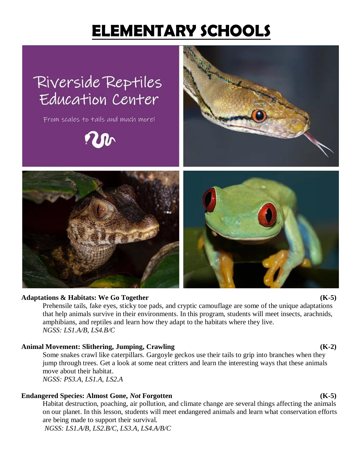# **ELEMENTARY SCHOOLS**



### **Adaptations & Habitats: We Go Together (K-5)**

Prehensile tails, fake eyes, sticky toe pads, and cryptic camouflage are some of the unique adaptations that help animals survive in their environments. In this program, students will meet insects, arachnids, amphibians, and reptiles and learn how they adapt to the habitats where they live. *NGSS: LS1.A/B, LS4.B/C*

### **Animal Movement: Slithering, Jumping, Crawling (K-2)**

Some snakes crawl like caterpillars. Gargoyle geckos use their tails to grip into branches when they jump through trees. Get a look at some neat critters and learn the interesting ways that these animals move about their habitat.

*NGSS: PS3.A, LS1.A, LS2.A*

### **Endangered Species: Almost Gone,** *Not* **Forgotten (K-5)**

Habitat destruction, poaching, air pollution, and climate change are several things affecting the animals on our planet. In this lesson, students will meet endangered animals and learn what conservation efforts are being made to support their survival.

*NGSS: LS1.A/B, LS2.B/C, LS3.A, LS4.A/B/C*